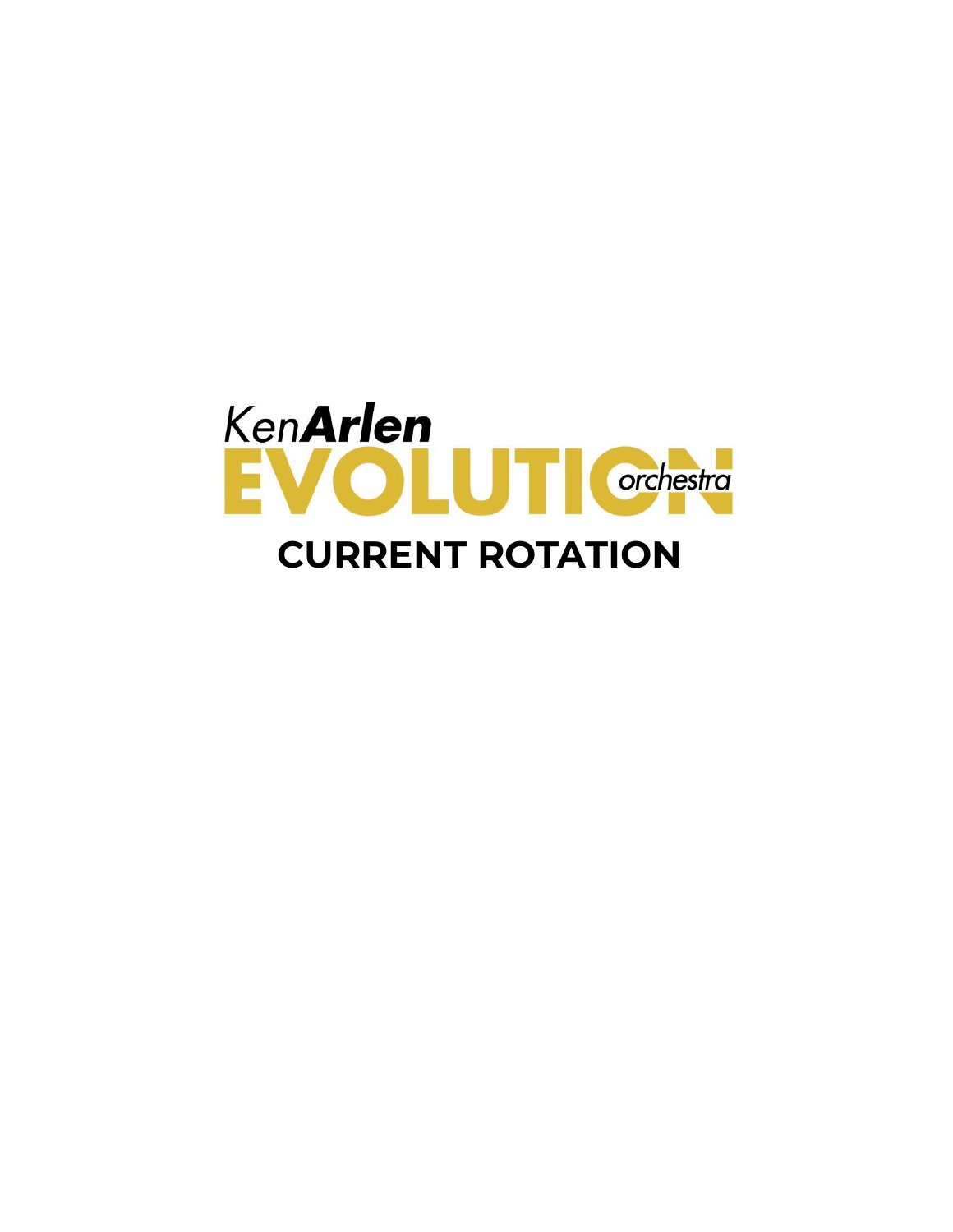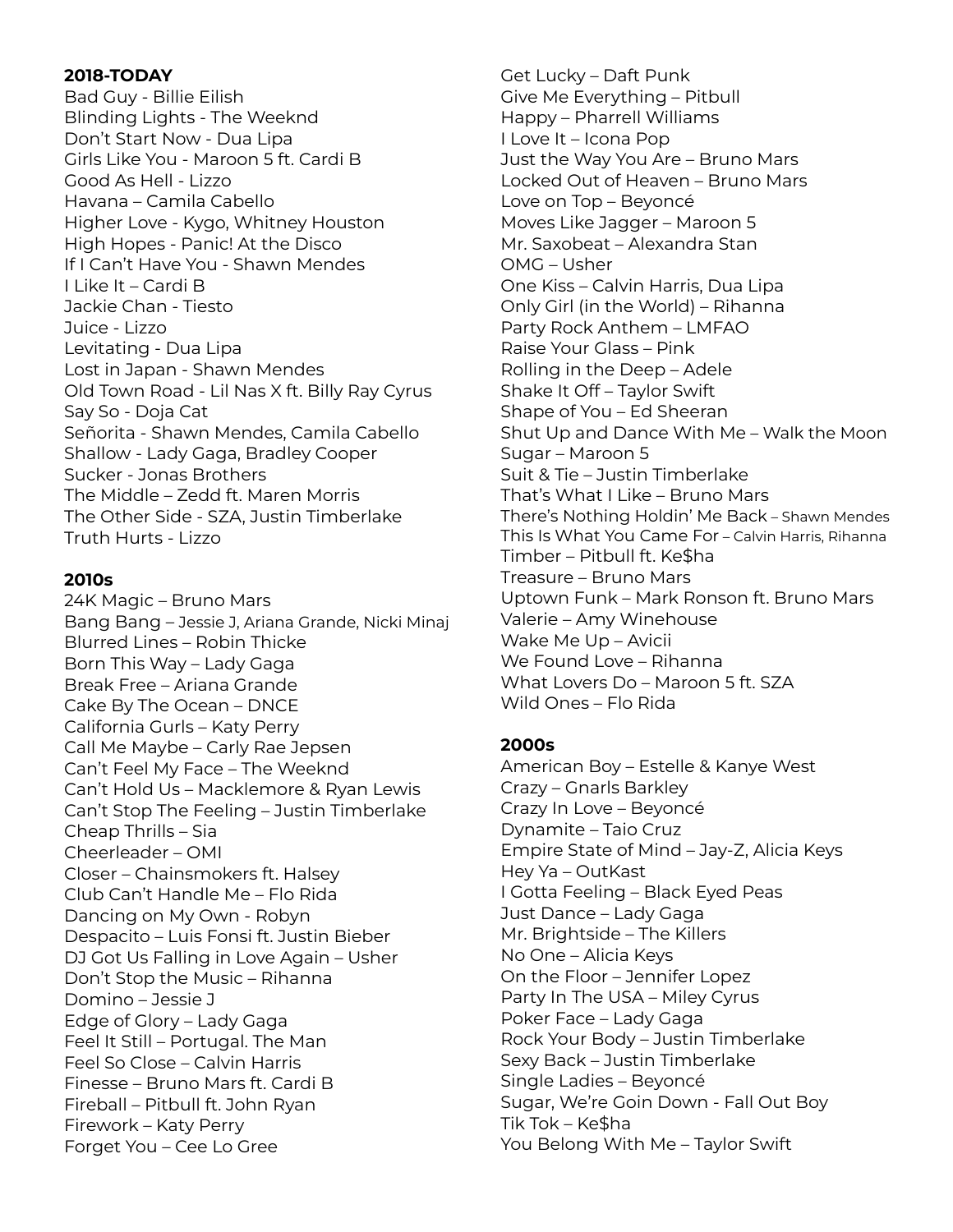#### **2018-TODAY**

Bad Guy - Billie Eilish Blinding Lights - The Weeknd Don't Start Now - Dua Lipa Girls Like You - Maroon 5 ft. Cardi B Good As Hell - Lizzo Havana – Camila Cabello Higher Love - Kygo, Whitney Houston High Hopes - Panic! At the Disco If I Can't Have You - Shawn Mendes I Like It – Cardi B Jackie Chan - Tiesto Juice - Lizzo Levitating - Dua Lipa Lost in Japan - Shawn Mendes Old Town Road - Lil Nas X ft. Billy Ray Cyrus Say So - Doja Cat Señorita - Shawn Mendes, Camila Cabello Shallow - Lady Gaga, Bradley Cooper Sucker - Jonas Brothers The Middle – Zedd ft. Maren Morris The Other Side - SZA, Justin Timberlake Truth Hurts - Lizzo

#### **2010s**

24K Magic – Bruno Mars Bang Bang – Jessie J, Ariana Grande, Nicki Minaj Blurred Lines – Robin Thicke Born This Way – Lady Gaga Break Free – Ariana Grande Cake By The Ocean – DNCE California Gurls – Katy Perry Call Me Maybe – Carly Rae Jepsen Can't Feel My Face – The Weeknd Can't Hold Us – Macklemore & Ryan Lewis Can't Stop The Feeling – Justin Timberlake Cheap Thrills – Sia Cheerleader – OMI Closer – Chainsmokers ft. Halsey Club Can't Handle Me – Flo Rida Dancing on My Own - Robyn Despacito – Luis Fonsi ft. Justin Bieber DJ Got Us Falling in Love Again – Usher Don't Stop the Music – Rihanna Domino – Jessie J Edge of Glory – Lady Gaga Feel It Still – Portugal. The Man Feel So Close – Calvin Harris Finesse – Bruno Mars ft. Cardi B Fireball – Pitbull ft. John Ryan Firework – Katy Perry Forget You – Cee Lo Gree

Get Lucky – Daft Punk Give Me Everything – Pitbull Happy – Pharrell Williams I Love It – Icona Pop Just the Way You Are – Bruno Mars Locked Out of Heaven – Bruno Mars Love on Top – Beyoncé Moves Like Jagger – Maroon 5 Mr. Saxobeat – Alexandra Stan OMG – Usher One Kiss – Calvin Harris, Dua Lipa Only Girl (in the World) – Rihanna Party Rock Anthem – LMFAO Raise Your Glass – Pink Rolling in the Deep – Adele Shake It Off – Taylor Swift Shape of You – Ed Sheeran Shut Up and Dance With Me – Walk the Moon Sugar – Maroon 5 Suit & Tie – Justin Timberlake That's What I Like – Bruno Mars There's Nothing Holdin' Me Back – Shawn Mendes This Is What You Came For – Calvin Harris, Rihanna Timber – Pitbull ft. Ke\$ha Treasure – Bruno Mars Uptown Funk – Mark Ronson ft. Bruno Mars Valerie – Amy Winehouse Wake Me Up – Avicii We Found Love – Rihanna What Lovers Do – Maroon 5 ft. SZA Wild Ones – Flo Rida

### **2000s**

American Boy – Estelle & Kanye West Crazy – Gnarls Barkley Crazy In Love – Beyoncé Dynamite – Taio Cruz Empire State of Mind – Jay-Z, Alicia Keys Hey Ya – OutKast I Gotta Feeling – Black Eyed Peas Just Dance – Lady Gaga Mr. Brightside – The Killers No One – Alicia Keys On the Floor – Jennifer Lopez Party In The USA – Miley Cyrus Poker Face – Lady Gaga Rock Your Body – Justin Timberlake Sexy Back – Justin Timberlake Single Ladies – Beyoncé Sugar, We're Goin Down - Fall Out Boy Tik Tok – Ke\$ha You Belong With Me – Taylor Swift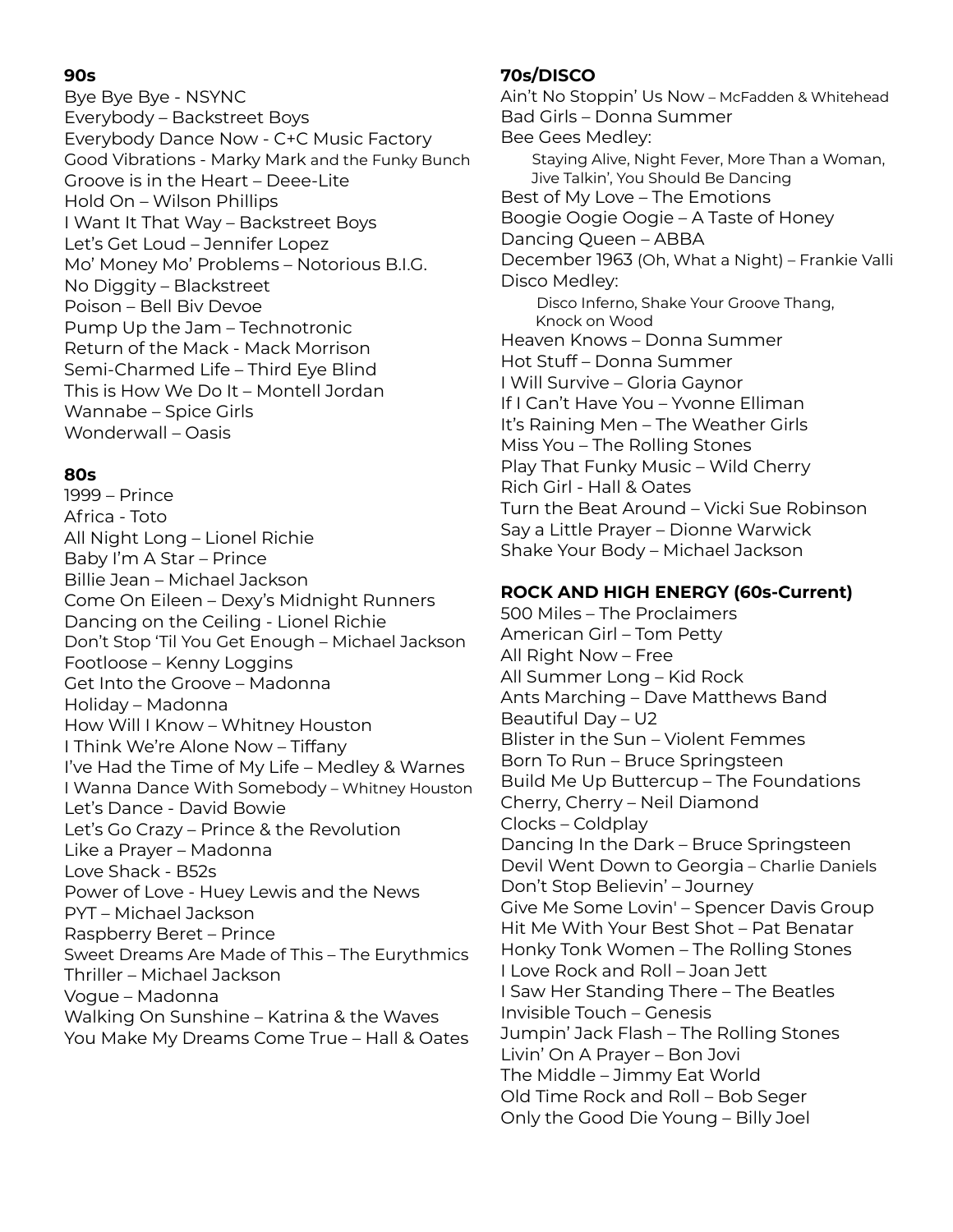## **90s**

Bye Bye Bye - NSYNC Everybody – Backstreet Boys Everybody Dance Now - C+C Music Factory Good Vibrations - Marky Mark and the Funky Bunch Groove is in the Heart – Deee-Lite Hold On – Wilson Phillips I Want It That Way – Backstreet Boys Let's Get Loud – Jennifer Lopez Mo' Money Mo' Problems – Notorious B.I.G. No Diggity – Blackstreet Poison – Bell Biv Devoe Pump Up the Jam – Technotronic Return of the Mack - Mack Morrison Semi-Charmed Life – Third Eye Blind This is How We Do It – Montell Jordan Wannabe – Spice Girls Wonderwall – Oasis

## **80s**

1999 – Prince Africa - Toto All Night Long – Lionel Richie Baby I'm A Star – Prince Billie Jean – Michael Jackson Come On Eileen – Dexy's Midnight Runners Dancing on the Ceiling - Lionel Richie Don't Stop 'Til You Get Enough – Michael Jackson Footloose – Kenny Loggins Get Into the Groove – Madonna Holiday – Madonna How Will I Know – Whitney Houston I Think We're Alone Now – Tiffany I've Had the Time of My Life – Medley & Warnes I Wanna Dance With Somebody – Whitney Houston Let's Dance - David Bowie Let's Go Crazy – Prince & the Revolution Like a Prayer – Madonna Love Shack - B52s Power of Love - Huey Lewis and the News PYT – Michael Jackson Raspberry Beret – Prince Sweet Dreams Are Made of This – The Eurythmics Thriller – Michael Jackson Vogue – Madonna Walking On Sunshine – Katrina & the Waves You Make My Dreams Come True – Hall & Oates

# **70s/DISCO**

Ain't No Stoppin' Us Now – McFadden & Whitehead Bad Girls – Donna Summer Bee Gees Medley: Staying Alive, Night Fever, More Than a Woman, Jive Talkin', You Should Be Dancing Best of My Love – The Emotions Boogie Oogie Oogie – A Taste of Honey Dancing Queen – ABBA December 1963 (Oh, What a Night) – Frankie Valli Disco Medley: Disco Inferno, Shake Your Groove Thang, Knock on Wood Heaven Knows – Donna Summer Hot Stuff – Donna Summer I Will Survive – Gloria Gaynor If I Can't Have You – Yvonne Elliman It's Raining Men – The Weather Girls Miss You – The Rolling Stones Play That Funky Music – Wild Cherry Rich Girl - Hall & Oates Turn the Beat Around – Vicki Sue Robinson Say a Little Prayer – Dionne Warwick Shake Your Body – Michael Jackson

## **ROCK AND HIGH ENERGY (60s-Current)**

500 Miles – The Proclaimers American Girl – Tom Petty All Right Now – Free All Summer Long – Kid Rock Ants Marching – Dave Matthews Band Beautiful Day – U2 Blister in the Sun – Violent Femmes Born To Run – Bruce Springsteen Build Me Up Buttercup – The Foundations Cherry, Cherry – Neil Diamond Clocks – Coldplay Dancing In the Dark – Bruce Springsteen Devil Went Down to Georgia – Charlie Daniels Don't Stop Believin' – Journey Give Me Some Lovin' – Spencer Davis Group Hit Me With Your Best Shot – Pat Benatar Honky Tonk Women – The Rolling Stones I Love Rock and Roll – Joan Jett I Saw Her Standing There – The Beatles Invisible Touch – Genesis Jumpin' Jack Flash – The Rolling Stones Livin' On A Prayer – Bon Jovi The Middle – Jimmy Eat World Old Time Rock and Roll – Bob Seger Only the Good Die Young – Billy Joel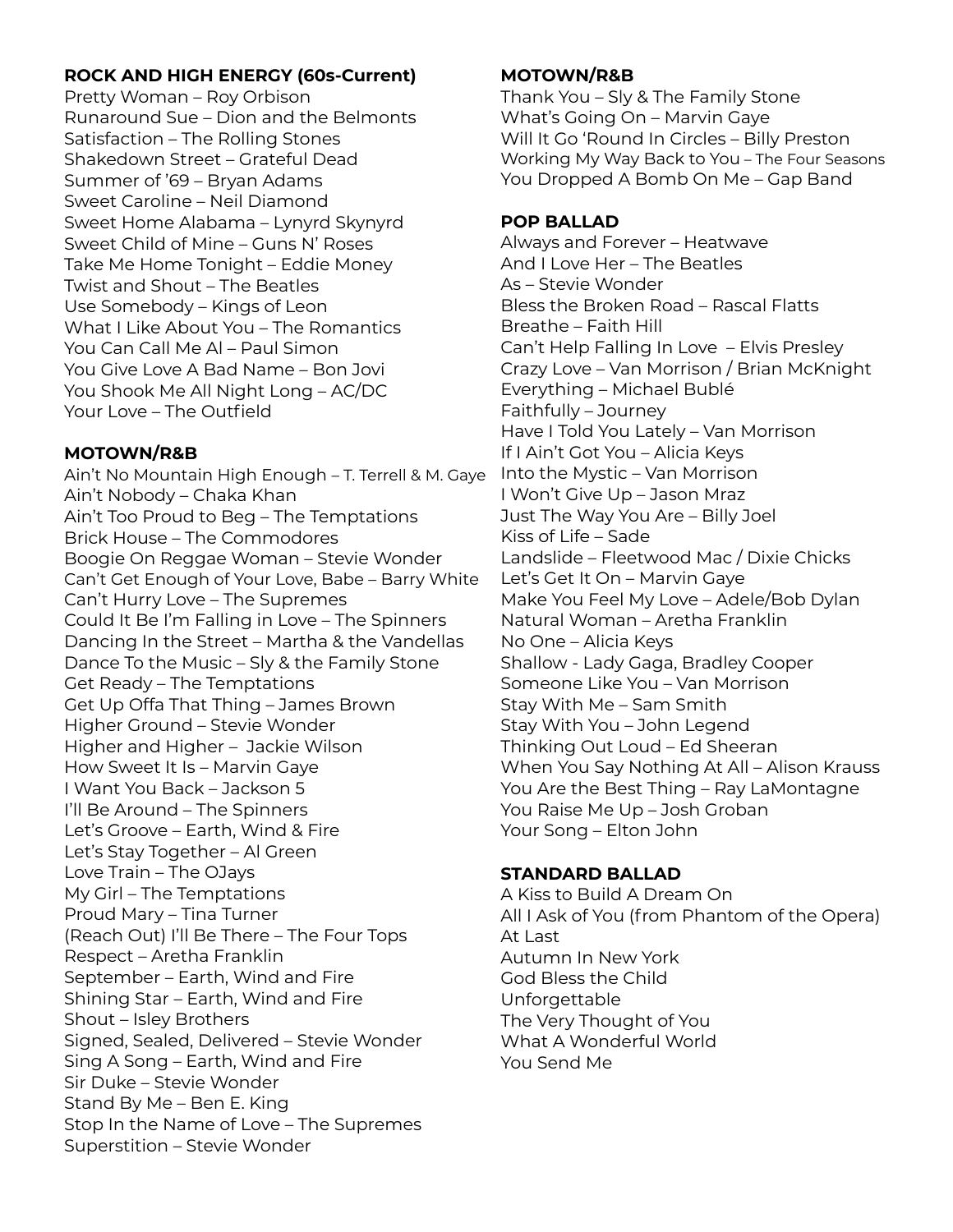### **ROCK AND HIGH ENERGY (60s-Current)**

Pretty Woman – Roy Orbison Runaround Sue – Dion and the Belmonts Satisfaction – The Rolling Stones Shakedown Street – Grateful Dead Summer of '69 – Bryan Adams Sweet Caroline – Neil Diamond Sweet Home Alabama – Lynyrd Skynyrd Sweet Child of Mine – Guns N' Roses Take Me Home Tonight – Eddie Money Twist and Shout – The Beatles Use Somebody – Kings of Leon What I Like About You – The Romantics You Can Call Me Al – Paul Simon You Give Love A Bad Name – Bon Jovi You Shook Me All Night Long – AC/DC Your Love – The Outfield

## **MOTOWN/R&B**

Ain't No Mountain High Enough – T. Terrell & M. Gaye Ain't Nobody – Chaka Khan Ain't Too Proud to Beg – The Temptations Brick House – The Commodores Boogie On Reggae Woman – Stevie Wonder Can't Get Enough of Your Love, Babe – Barry White Can't Hurry Love – The Supremes Could It Be I'm Falling in Love – The Spinners Dancing In the Street – Martha & the Vandellas Dance To the Music – Sly & the Family Stone Get Ready – The Temptations Get Up Offa That Thing – James Brown Higher Ground – Stevie Wonder Higher and Higher – Jackie Wilson How Sweet It Is – Marvin Gaye I Want You Back – Jackson 5 I'll Be Around – The Spinners Let's Groove – Earth, Wind & Fire Let's Stay Together – Al Green Love Train – The OJays My Girl – The Temptations Proud Mary – Tina Turner (Reach Out) I'll Be There – The Four Tops Respect – Aretha Franklin September – Earth, Wind and Fire Shining Star – Earth, Wind and Fire Shout – Isley Brothers Signed, Sealed, Delivered – Stevie Wonder Sing A Song – Earth, Wind and Fire Sir Duke – Stevie Wonder Stand By Me – Ben E. King Stop In the Name of Love – The Supremes Superstition – Stevie Wonder

### **MOTOWN/R&B**

Thank You – Sly & The Family Stone What's Going On – Marvin Gaye Will It Go 'Round In Circles – Billy Preston Working My Way Back to You – The Four Seasons You Dropped A Bomb On Me – Gap Band

### **POP BALLAD**

Always and Forever – Heatwave And I Love Her – The Beatles As – Stevie Wonder Bless the Broken Road – Rascal Flatts Breathe – Faith Hill Can't Help Falling In Love – Elvis Presley Crazy Love – Van Morrison / Brian McKnight Everything – Michael Bublé Faithfully – Journey Have I Told You Lately – Van Morrison If I Ain't Got You – Alicia Keys Into the Mystic – Van Morrison I Won't Give Up – Jason Mraz Just The Way You Are – Billy Joel Kiss of Life – Sade Landslide – Fleetwood Mac / Dixie Chicks Let's Get It On – Marvin Gaye Make You Feel My Love – Adele/Bob Dylan Natural Woman – Aretha Franklin No One – Alicia Keys Shallow - Lady Gaga, Bradley Cooper Someone Like You – Van Morrison Stay With Me – Sam Smith Stay With You – John Legend Thinking Out Loud – Ed Sheeran When You Say Nothing At All – Alison Krauss You Are the Best Thing – Ray LaMontagne You Raise Me Up – Josh Groban Your Song – Elton John

### **STANDARD BALLAD**

A Kiss to Build A Dream On All I Ask of You (from Phantom of the Opera) At Last Autumn In New York God Bless the Child Unforgettable The Very Thought of You What A Wonderful World You Send Me